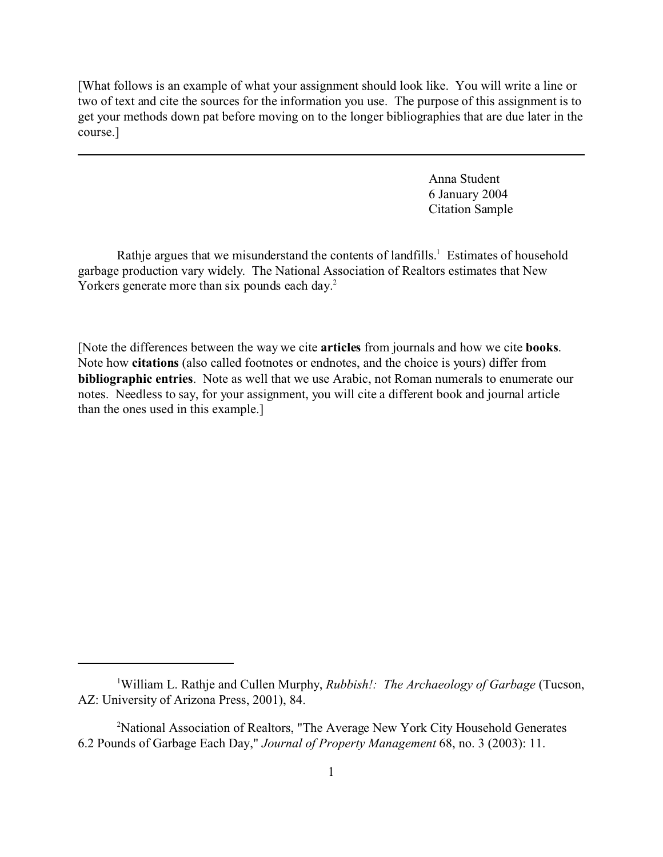[What follows is an example of what your assignment should look like. You will write a line or two of text and cite the sources for the information you use. The purpose of this assignment is to get your methods down pat before moving on to the longer bibliographies that are due later in the course.]

> Anna Student 6 January 2004 Citation Sample

Rathje argues that we misunderstand the contents of landfills.<sup>1</sup> Estimates of household garbage production vary widely. The National Association of Realtors estimates that New Yorkers generate more than six pounds each day.<sup>2</sup>

[Note the differences between the way we cite **articles** from journals and how we cite **books**. Note how **citations** (also called footnotes or endnotes, and the choice is yours) differ from **bibliographic entries**. Note as well that we use Arabic, not Roman numerals to enumerate our notes. Needless to say, for your assignment, you will cite a different book and journal article than the ones used in this example.]

<sup>1</sup>William L. Rathje and Cullen Murphy, *[Rubbish!: The Archaeology of Garbage](http://endnote+.cit)* (Tucson, [AZ: University of Arizona Press, 2001\), 84.](http://endnote+.cit)

<sup>&</sup>lt;sup>2</sup>[National Association of Realtors, "The Average New York City Household Generates](http://endnote+.cit)" [6.2 Pounds of Garbage Each Day,"](http://endnote+.cit) *Journal of Property Management* 68, no. 3 (2003): 11.